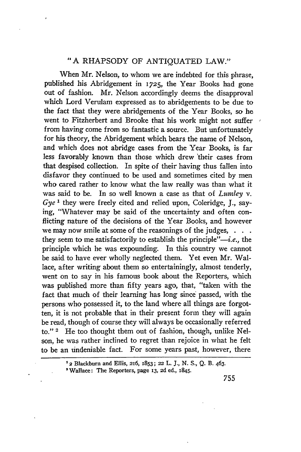## "A RHAPSODY OF ANTIQUATED LAW."

When Mr. Nelson, to whom we are indebted for this phrase, published his Abridgement in **1725,** the Year Books had gone out of fashion. Mr. Nelson accordingly deems the disapproval which Lord Verulam expressed as to abridgements to be due to the fact that they were abridgements of the Year Books, so he went to Fitzherbert and Brooke that his work might not suffer from having come from so fantastic a source. But unfortunately for his theory, the Abridgement which bears the name of Nelson, and which does not abridge cases from the Year Books, is far less favorably known than those which drew 'their cases from that despised collection. In spite of their having thus fallen into disfavor they continued to be used and sometimes cited by men who cared rather to know what the law really was than what it was said to be. In so well known a case as that of *Lumley v. Gye 1* they were freely cited and relied upon, Coleridge, J., saying, "Whatever may be said of the uncertainty and often conflicting nature of the decisions of the Year Books, and however we may now smile at some of the reasonings of the judges, . . . they seem to me satisfactorily to establish the principle" $-i.e.,$  the principle which he was expounding. In this country we cannot be said to have ever wholly neglected them. Yet even Mr. Wallace, after writing about them so entertainingly, almost tenderly, went on to say in his famous book about the Reporters, which was published more than fifty years ago, that, "taken with the fact that much of their learning has long since passed, with the persons who possessed it, to the land where all things are forgotten, it is not probable that in their present form they will again be read, though of course they will always be occasionally referred to."<sup>2</sup> He too thought them out of fashion, though, unlike Nelson, he was rather inclined to regret than rejoice in what he felt to be an undeniable fact. For some years past, however, there

**12** Blackburn and Ellis, 216, 1853; 22 L. **J.,** N. S., Q. B. 463.

<sup>2</sup> Wallace: The Reporters, page **13,** 2d ed., 1845.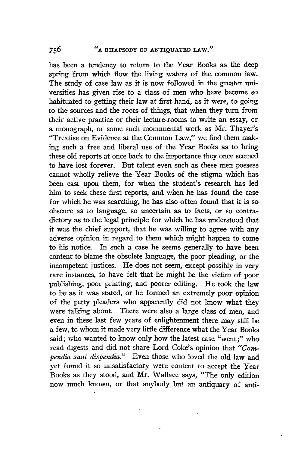has been a tendency to return to the Year Books as the deep spring from which flow the living waters of the common law. The study of case law as it is now followed in the greater universities has given rise to a class of men who have become so habituated to getting their law at first hand, as it were, to going to the sources and the roots of things, that when they turn from their active practice or their lecture-rooms to write an essay, or a monograph, or some such monumental work as Mr. Thayer's "Treatise on Evidence at the Common Law," we find them making such a free and liberal use of the Year Books as to bring these old reports at once back to the importance they once seemed to have lost forever. But talent even such as these men possess cannot wholly relieve the Year Books of the stigma which has been cast upon them, for when the student's research has led him to seek these first reports, and when he has found the case for which he was searching, he has also often found that it is so obscure as to language, so uncertain as to facts, or so contradictory as to the legal principle for which he has understood that it was the chief support, that he was willing to agree with any adverse opinion in regard to them which might happen to come to his notice. In such a case he seems generally to have been content to blame the obsolete language, the poor pleading, or the incompetent justices. He does not seem, except possibly in very rare instances, to have felt that he might be the victim of poor publishing, poor printing, and poorer editing. He took the law to be as it was stated, or he formed- an extremely poor opinion of the petty pleaders who apparently did not know what they were talking about. There were also a large class of men, and even in these last few years of enlightenment there may still be a few, to whom it made very little difference what the Year Books said; who wanted to know only how the latest case "went;" who read digests and did not share Lord Coke's opinion that *"Comnpendia sunt dispendia."* Even those who loved the old law and yet found it so unsatisfactory were content to accept the Year Books as they stood, and Mr. Wallace says, "The only edition now much known, or that anybody but an antiquary of anti-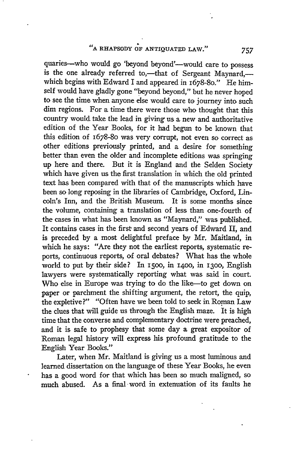quaries-who would go 'beyond beyond'--would care to possess is the one already referred to,-that of Sergeant Maynard,which begins with Edward I and appeared in 1678-8o." He himself would have gladly gone "beyond beyond," but he never hoped to see the time when anyone else would care to journey into such dim regions. For a time there were those who thought that this country would take the lead in giving us a new and authoritative edition of the Year Books, for it had begun to be known that this edition of 1678-8o was very corrupt, not even so correct as other editions previously printed, and a desire for something better than even the older and incomplete editions was springing up here and there. But it is England and the Selden Society which have given us the first translation in which the old printed text has been compared with that of the manuscripts which have been so long reposing in the libraries of Cambridge, Oxford, Lincoln's Inn, and the British Museum. It is some months since the volume, containing a translation of less than one-fourth of the cases in what has been known as "Maynard," was published. It contains cases in the first and second years of Edward II, and is preceded by a most delightful preface by Mr. Maitland, in which he says: "Are they not the earliest reports, systematic reports, continuous reports, of oral debates? What has the whole world to put by their side? In **1500,** in i4oo, in **1300,** English lawyers were systematically reporting what was said in court. Who else in Europe was trying to do the like-to get down on paper or parchment the shifting argument, the retort, the quip, the expletive?" "Often have we been told to seek in Roman Law the clues that will guide us through the English maze. It is high time that the converse and complementary doctrine were preached, and it is safe to prophesy that some day a great expositor of Roman legal history will express his profound gratitude to the English Year Books."

Later, when Mr. Maitland is giving us a most luminous and learned dissertation on the language of these Year Books, he even has a good word for that which has been so much maligned, so much abused. As a final word in extenuation of its faults he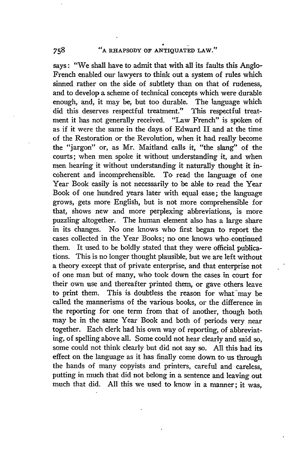says: "We shall have to admit that with all its faults this Anglo-French enabled our lawyers to think out a system of rules which sinned rather on the side of subtlety than on that of rudeness, and to develop a scheme of technical concepts which were durable enough, and, it may be, but too durable. The language which did this deserves respectful treatment." This respectful treatment it has not generally received. "Law French" is spoken of as if it were the same in the days of Edward II and at the time of the Restoration or the Revolution, when it had really become the "jargon" or, as Mr. Maitland calls it, "the slang" of the courts; when men spoke it without understanding it, and when men hearing it without understanding it naturally thought it incoherent and incomprehensible. To read the language of one Year Book easily is not necessarily to be able to read the Year Book of one hundred years later with equal ease; the language grows, gets more English, but is not more comprehensible for that, shows new and more perplexing abbreviations, is more puzzling altogether. The human element also has a large share in its changes. No one knows who first began to report the cases collected in the Year Books; no one knows who-continued them. It used to be boldly stated that they were official publications. This is no longer thought plausible, but we are left without a theory except that of private enterprise, and that enterprise not of one man but of many, who took down the cases in court for their own use and thereafter printed them, or gave others leave to print them. This is doubtless the reason for what may be called the mannerisms of the various books, or the difference in the reporting for one term from that of another, though both may be in the same Year Book and both of periods very near together. Each clerk had his own way of reporting, of abbreviating, of spelling above all. Some could not hear clearly and said so, some could not think clearly but did not say so. All this had its effect on the language as it has finally come down to us through the hands of many copyists and printers, careful and careless, putting in much that did not belong in a sentence and leaving out much that did. All this we used to know in a manner; it was,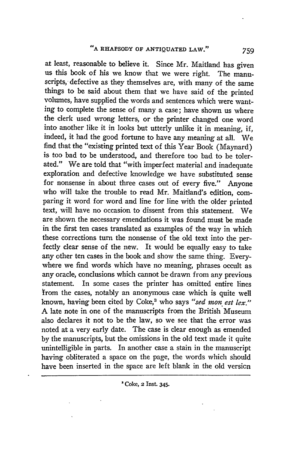at least, reasonable to believe it. Since Mr. Maitland has given us this book of his we know that we were right. The manuscripts, defective as they themselves are, with many of the same things to be said about them that we have said of the printed volumes, have supplied the words and sentences which were wanting to complete the sense of many a case; have shown us where the clerk used wrong letters, or the printer changed one word into another like it in looks but utterly unlike it in meaning, if, indeed, it had the good fortune to have any meaning at all. We find that the "existing printed text of this Year Book (Maynard) is too bad to be understood, and therefore too bad to be tolerated." We are told that "with imperfect material and inadequate exploration and defective knowledge we have substituted sense for nonsense in about three cases out of every five." Anyone who will take the trouble to read Mr. Maitland's edition, comparing it word for word and line for line with the older printed text, will have no occasion to dissent from this statement. We are shown the necessary emendations it was found must be made in the first ten cases translated as examples of the way in which these corrections turn the nonsense of the old text into the perfectly clear sense of the new. It would be equally easy to take any other ten cases in the book and show the same thing. Everywhere we find words which have no meaning, phrases occult as any oracle, conclusions which cannot be drawn from any previous statement. In some cases the printer has omitted entire lines from the cases, notably an anonymous case which is quite well known, having been cited **by** Coke,3 who says *"sed mon est lex."* **A** late note in one **of** the manuscripts from the British Museum also declares it not to be the law, so we see that the error was noted at a very early date. The case is clear enough as emended **by** the manuscripts, but the omissions in the old text made it quite unintelligible in parts. In another case a stain in the manuscript having obliterated a space on the page, the words which should have been inserted in the space are left blank in the old version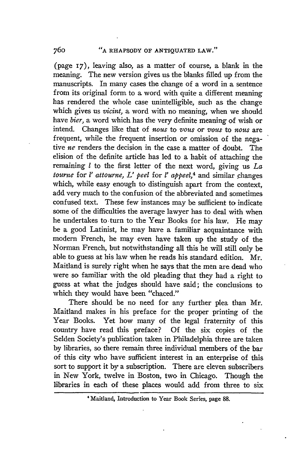## 760 **"A RHAPSODY OF ANTIQUATED** LAW."

(page 17), leaving also, as a matter of course, a blank in the meaning. The new version gives us the blanks filled up from the manuscripts. In many cases the change of a word in a sentence from its original form to a word with quite a different meaning has rendered the whole case unintelligible, such as the change which gives us *vicint,* a word with no meaning, when we should have *bier,* a word which has the very definite meaning of wish or intend. Changes like that of *nous* to *vous* or *vous* to *nous* are frequent, while the frequent insertion or omission of the negative *ne* renders the decision in the case a matter of doubt. The elision of the definite article has led to a habit of attaching the remaining *I* to the first letter of the next word, giving us *La tourne* for *1' attourne, L' peel* for *I' appeel,4* and similar changes which, while easy enough to distinguish apart from the context, add very much to the confusion of the abbreviated and sometimes confused text. These few instances may be sufficient to indicate some of the difficulties the average lawyer has to deal with when he undertakes to -turn to the Year Books for his law. He may be a good Latinist, he may have a familiar acquaintance with modern French, he may even have taken up the study of the Norman French, but notwithstanding all this he will still only be able to guess at his law when he reads his standard edition. Mr. Maitland is surely right when he says that the men are dead who were so familiar with the old pleading that they had a right to guess at what the judges should have said; the conclusions to which they would have been "chaced."

There should be no need for any further plea than Mr. Maitland makes in his preface for the proper printing of the Year Books. Yet how many of the legal fraternity of this country have read this preface? Of the six copies of the Selden Society's publication taken in Philadelphia three are taken by libraries, so there remain three individual members of the bar of this city who have sufficient interest in an enterprise of this sort to support it by a subscription. There are eleven subscribers in New York, twelve in Boston, two in Chicago. Though the libraries in each of these places would add from three to six

**<sup>&#</sup>x27;Maitland, Introduction to Year Book Series, page 88.**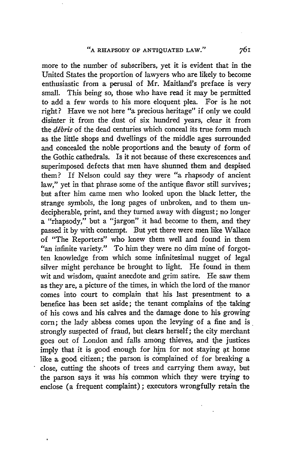more to the number of subscribers, yet it is evident that in the United States the proportion of lawyers who are likely to become enthusiastic from a perusal of Mr. Maitland's preface is very small. This being so, those who have read it may be permitted to add a few words to his more eloquent plea. For is he not right? Have we not here "a precious heritage" if only we could disinter it from the dust of six hundred years, clear it from the *dibris* of the dead centuries which conceal its true form much as the little shops and dwellings of the middle ages surrounded and concealed the noble proportions and the beauty of form of the Gothic cathedrals. Is it not because of these excrescences and superimposed defects that men have shunned them and despised them? If Nelson could say they were "a rhapsody of ancient law," yet in that phrase some of the antique flavor still survives; but after him came men who looked upon the black letter, the strange symbols, the long pages of unbroken, and to them undecipherable, print, and they turned away with disgust; no longer a "rhapsody," but a "jargon" it had become to them, and they passed it by with contempt. But yet there were men like Wallace of "The Reporters" who knew them well and found in them "an infinite variety." To him they were no dim mine of forgotten knowledge from which some infinitesimal nugget of legal silver might perchance be brought to light. He found in them wit and wisdom, quaint anecdote and grim satire. He saw them as they are, a picture of the times, in which the lord of the manor comes into court to complain that his last presentment to a benefice has been set aside; the tenant complains of the taking of his cows and his calves and the damage done to his growing corn; the lady abbess comes upon the levying of a fine and is strongly suspected of fraud, but clears herself; the city merchant goes out of London and falls among thieves, and the justices imply that it is good enough for him for not staying at home like a good citizen; the parson is complained of for breaking a close, cutting the shoots of trees and carrying them away, but the parson says it was his common which they were trying to enclose (a frequent complaint); executors wrongfully retain the

761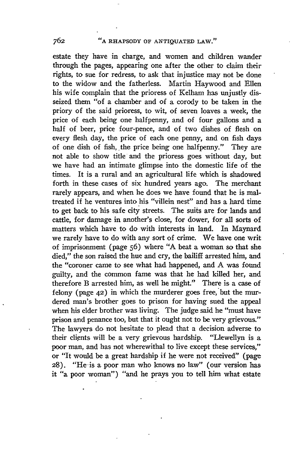estate they have in charge, and women and children wander through the pages, appearing one after the other to claim their rights, to sue for redress, to ask that injustice may not be done to the widow and the fatherless. Martin Haywood and Ellen his wife complain that the prioress of Kelham has unjustly disseized them "of a chamber and of a corody to be taken in the priory of the said prioress, to wit, of seven loaves a week, the price of each being one halfpenny, and of four gallons and a half of beer, price four-pence, and of two dishes of flesh on every flesh day, the price of each one penny, and on fish days of one dish of fish, the price being one halfpenny." They **are** not able to show title and the prioress goes without day, but we have had an intimate glimpse into the domestic life of the times. It is a rural and an agricultural life which is shadowed forth in these cases of six hundred years ago. The merchant rarely appears, and when he does we have found that he is maltreated if he ventures into his "villein nest" and has a hard time to get back to his safe city streets. The suits are for lands and cattle, for damage in another's close, for dower, for all sorts **of** matters which have to do with interests in land. In Maynard we rarely have to do with any sort of crime. We have one writ of imprisonment (page **56)** where **"A** beat a woman so that she died," the son raised the hue and cry, the bailiff arrested him, and the "coroner came to see what had happened, and **A** was found guilty, and the common fame was that he had killed her, and therefore B arrested him, as well he might." There is a case of felony (page **42)** in which the murderer goes free, but the murdered man's brother goes to prison for having sued the appeal when his elder brother was living. The judge said he "must have prison and penance too, but that it ought not to be very grievous." The lawyers do not hesitate to plead that a decision adverse to their clients will be a very grievous hardship. "Llewellyn is a poor man, and has not wherewithal to live except these services," or "It would be a great hardship if he were not received" (page 28). "He-is a poor man who knows no law" (our version has it "a poor woman") "and he prays you to tell him what estate

*762*